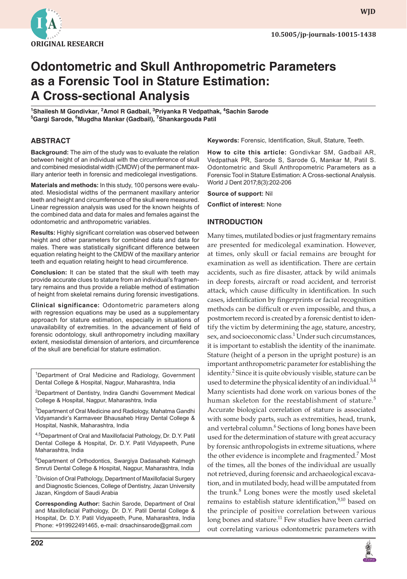

**wjd**

# **Odontometric and Skull Anthropometric Parameters as a Forensic Tool in Stature Estimation: A Cross-sectional Analysis**

**1 Shailesh M Gondivkar, 2 Amol R Gadbail, 3 Priyanka R Vedpathak, <sup>4</sup> Sachin Sarode 5 Gargi Sarode, 6 Mugdha Mankar (Gadbail), 7 Shankargouda Patil**

## **ABSTRACT**

**Background:** The aim of the study was to evaluate the relation between height of an individual with the circumference of skull and combined mesiodistal width (CMDW) of the permanent maxillary anterior teeth in forensic and medicolegal investigations.

**Materials and methods:** In this study, 100 persons were evaluated. Mesiodistal widths of the permanent maxillary anterior teeth and height and circumference of the skull were measured. Linear regression analysis was used for the known heights of the combined data and data for males and females against the odontometric and anthropometric variables.

**Results:** Highly significant correlation was observed between height and other parameters for combined data and data for males. There was statistically significant difference between equation relating height to the CMDW of the maxillary anterior teeth and equation relating height to head circumference.

**Conclusion:** It can be stated that the skull with teeth may provide accurate clues to stature from an individual's fragmentary remains and thus provide a reliable method of estimation of height from skeletal remains during forensic investigations.

**Clinical significance:** Odontometric parameters along with regression equations may be used as a supplementary approach for stature estimation, especially in situations of unavailability of extremities. In the advancement of field of forensic odontology, skull anthropometry including maxillary extent, mesiodistal dimension of anteriors, and circumference of the skull are beneficial for stature estimation.

<sup>1</sup>Department of Oral Medicine and Radiology, Government Dental College & Hospital, Nagpur, Maharashtra, India

<sup>2</sup>Department of Dentistry, Indira Gandhi Government Medical College & Hospital, Nagpur, Maharashtra, India

<sup>3</sup>Department of Oral Medicine and Radiology, Mahatma Gandhi Vidyamandir's Karmaveer Bhausaheb Hiray Dental College & Hospital, Nashik, Maharashtra, India

4,5Department of Oral and Maxillofacial Pathology, Dr. D.Y. Patil Dental College & Hospital, Dr. D.Y. Patil Vidyapeeth, Pune Maharashtra, India

6 Department of Orthodontics, Swargiya Dadasaheb Kalmegh Smruti Dental College & Hospital, Nagpur, Maharashtra, India

<sup>7</sup> Division of Oral Pathology, Department of Maxillofacial Surgery and Diagnostic Sciences, College of Dentistry, Jazan University Jazan, Kingdom of Saudi Arabia

**Corresponding Author:** Sachin Sarode, Department of Oral and Maxillofacial Pathology, Dr. D.Y. Patil Dental College & Hospital, Dr. D.Y. Patil Vidyapeeth, Pune, Maharashtra, India Phone: +919922491465, e-mail: drsachinsarode@gmail.com

**Keywords:** Forensic, Identification, Skull, Stature, Teeth.

**How to cite this article:** Gondivkar SM, Gadbail AR, Vedpathak PR, Sarode S, Sarode G, Mankar M, Patil S. Odontometric and Skull Anthropometric Parameters as a Forensic Tool in Stature Estimation: A Cross-sectional Analysis. World J Dent 2017;8(3):202-206

**Source of support:** Nil

**Conflict of interest:** None

#### **INTRODUCTION**

Many times, mutilated bodies or just fragmentary remains are presented for medicolegal examination. However, at times, only skull or facial remains are brought for examination as well as identification. There are certain accidents, such as fire disaster, attack by wild animals in deep forests, aircraft or road accident, and terrorist attack, which cause difficulty in identification. In such cases, identification by fingerprints or facial recognition methods can be difficult or even impossible, and thus, a postmortem record is created by a forensic dentist to identify the victim by determining the age, stature, ancestry, sex, and socioeconomic class.<sup>1</sup> Under such circumstances, it is important to establish the identity of the inanimate. Stature (height of a person in the upright posture) is an important anthropometric parameter for establishing the identity.<sup>2</sup> Since it is quite obviously visible, stature can be used to determine the physical identity of an individual.<sup>3,4</sup> Many scientists had done work on various bones of the human skeleton for the reestablishment of stature.<sup>5</sup> Accurate biological correlation of stature is associated with some body parts, such as extremities, head, trunk, and vertebral column.<sup>6</sup> Sections of long bones have been used for the determination of stature with great accuracy by forensic anthropologists in extreme situations, where the other evidence is incomplete and fragmented.<sup>7</sup> Most of the times, all the bones of the individual are usually not retrieved, during forensic and archaeological excavation, and in mutilated body, head will be amputated from the trunk.<sup>8</sup> Long bones were the mostly used skeletal remains to establish stature identification, $9,10$  based on the principle of positive correlation between various long bones and stature.<sup>11</sup> Few studies have been carried out correlating various odontometric parameters with

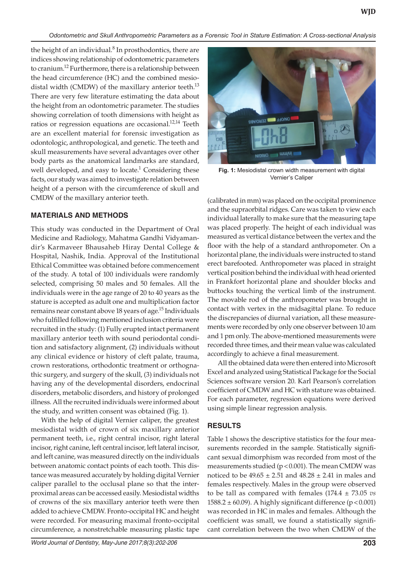*Odontometric and Skull Anthropometric Parameters as a Forensic Tool in Stature Estimation: A Cross-sectional Analysis*

the height of an individual. $8$  In prosthodontics, there are indices showing relationship of odontometric parameters to cranium.<sup>12</sup> Furthermore, there is a relationship between the head circumference (HC) and the combined mesiodistal width (CMDW) of the maxillary anterior teeth. $^{13}$ There are very few literature estimating the data about the height from an odontometric parameter. The studies showing correlation of tooth dimensions with height as ratios or regression equations are occasional.<sup>12,14</sup> Teeth are an excellent material for forensic investigation as odontologic, anthropological, and genetic. The teeth and skull measurements have several advantages over other body parts as the anatomical landmarks are standard, well developed, and easy to locate. $1$  Considering these facts, our study was aimed to investigate relation between height of a person with the circumference of skull and CMDW of the maxillary anterior teeth.

# **MATERIALS AND METHODS**

This study was conducted in the Department of Oral Medicine and Radiology, Mahatma Gandhi Vidyamandir's Karmaveer Bhausaheb Hiray Dental College & Hospital, Nashik, India. Approval of the Institutional Ethical Committee was obtained before commencement of the study. A total of 100 individuals were randomly selected, comprising 50 males and 50 females. All the individuals were in the age range of 20 to 40 years as the stature is accepted as adult one and multiplication factor remains near constant above 18 years of age.<sup>15</sup> Individuals who fulfilled following mentioned inclusion criteria were recruited in the study: (1) Fully erupted intact permanent maxillary anterior teeth with sound periodontal condition and satisfactory alignment, (2) individuals without any clinical evidence or history of cleft palate, trauma, crown restorations, orthodontic treatment or orthognathic surgery, and surgery of the skull, (3) individuals not having any of the developmental disorders, endocrinal disorders, metabolic disorders, and history of prolonged illness. All the recruited individuals were informed about the study, and written consent was obtained (Fig. 1).

With the help of digital Vernier caliper, the greatest mesiodistal width of crown of six maxillary anterior permanent teeth, i.e., right central incisor, right lateral incisor, right canine, left central incisor, left lateral incisor, and left canine, was measured directly on the individuals between anatomic contact points of each tooth. This distance was measured accurately by holding digital Vernier caliper parallel to the occlusal plane so that the interproximal areas can be accessed easily. Mesiodistal widths of crowns of the six maxillary anterior teeth were then added to achieve CMDW. Fronto-occipital HC and height were recorded. For measuring maximal fronto-occipital circumference, a nonstretchable measuring plastic tape



**Fig. 1:** Mesiodistal crown width measurement with digital Vernier's Caliper

(calibrated in mm) was placed on the occipital prominence and the supraorbital ridges. Care was taken to view each individual laterally to make sure that the measuring tape was placed properly. The height of each individual was measured as vertical distance between the vertex and the floor with the help of a standard anthropometer. On a horizontal plane, the individuals were instructed to stand erect barefooted. Anthropometer was placed in straight vertical position behind the individual with head oriented in Frankfort horizontal plane and shoulder blocks and buttocks touching the vertical limb of the instrument. The movable rod of the anthropometer was brought in contact with vertex in the midsagittal plane. To reduce the discrepancies of diurnal variation, all these measurements were recorded by only one observer between 10 am and 1 pm only. The above-mentioned measurements were recorded three times, and their mean value was calculated accordingly to achieve a final measurement.

All the obtained data were then entered into Microsoft Excel and analyzed using Statistical Package for the Social Sciences software version 20. Karl Pearson's correlation coefficient of CMDW and HC with stature was obtained. For each parameter, regression equations were derived using simple linear regression analysis.

# **RESULTS**

Table 1 shows the descriptive statistics for the four measurements recorded in the sample. Statistically significant sexual dimorphism was recorded from most of the measurements studied ( $p$  < 0.001). The mean CMDW was noticed to be  $49.65 \pm 2.51$  and  $48.28 \pm 2.41$  in males and females respectively. Males in the group were observed to be tall as compared with females (174.4 ± 73.05 *vs*  $1588.2 \pm 60.09$ ). A highly significant difference (p < 0.001) was recorded in HC in males and females. Although the coefficient was small, we found a statistically significant correlation between the two when CMDW of the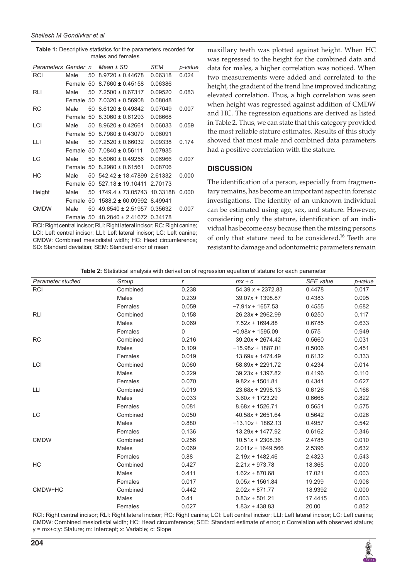**Table 1:** Descriptive statistics for the parameters recorded for males and females

| Parameters Gender n |               |    | $Mean \pm SD$         | SEM      | p-value |
|---------------------|---------------|----|-----------------------|----------|---------|
| RCI                 | Male          | 50 | $8.9720 \pm 0.44678$  | 0.06318  | 0.024   |
|                     | <b>Female</b> | 50 | $8.7660 \pm 0.45158$  | 0.06386  |         |
| RLI                 | Male          | 50 | $7.2500 \pm 0.67317$  | 0.09520  | 0.083   |
|                     | Female        | 50 | $7.0320 \pm 0.56908$  | 0.08048  |         |
| RC                  | Male          | 50 | $8.6120 \pm 0.49842$  | 0.07049  | 0.007   |
|                     | Female        | 50 | $8.3060 \pm 0.61293$  | 0.08668  |         |
| LCI                 | Male          | 50 | $8.9620 \pm 0.42661$  | 0.06033  | 0.059   |
|                     | Female        | 50 | $8.7980 \pm 0.43070$  | 0.06091  |         |
| LЦ                  | Male          | 50 | $7.2520 \pm 0.66032$  | 0.09338  | 0.174   |
|                     | Female 50     |    | $7.0840 \pm 0.56111$  | 0.07935  |         |
| LC                  | Male          | 50 | $8.6060 \pm 0.49256$  | 0.06966  | 0.007   |
|                     | Female 50     |    | $8.2980 \pm 0.61561$  | 0.08706  |         |
| НC                  | Male          | 50 | 542 42 + 18 47899     | 2.61332  | 0.000   |
|                     | <b>Female</b> | 50 | $527.18 + 19.10411$   | 2.70173  |         |
| Height              | Male          | 50 | $1749.4 \pm 73.05743$ | 10.33188 | 0.000   |
|                     | <b>Female</b> | 50 | $1588.2 \pm 60.09992$ | 8.49941  |         |
| <b>CMDW</b>         | Male          | 50 | $49.6540 \pm 2.51957$ | 0.35632  | 0.007   |
|                     | Female        | 50 | $48.2840 \pm 2.41672$ | 0.34178  |         |

RCI: Right central incisor; RLI: Right lateral incisor; RC: Right canine; LCI: Left central incisor; LLI: Left lateral incisor; LC: Left canine; CMDW: Combined mesiodistal width; HC: Head circumference; SD: Standard deviation; SEM: Standard error of mean

maxillary teeth was plotted against height. When HC was regressed to the height for the combined data and data for males, a higher correlation was noticed. When two measurements were added and correlated to the height, the gradient of the trend line improved indicating elevated correlation. Thus, a high correlation was seen when height was regressed against addition of CMDW and HC. The regression equations are derived as listed in Table 2. Thus, we can state that this category provided the most reliable stature estimates. Results of this study showed that most male and combined data parameters had a positive correlation with the stature.

#### **DISCUSSION**

The identification of a person, especially from fragmentary remains, has become an important aspect in forensic investigations. The identity of an unknown individual can be estimated using age, sex, and stature. However, considering only the stature, identification of an individual has become easy because then the missing persons of only that stature need to be considered.<sup>16</sup> Teeth are resistant to damage and odontometric parameters remain

| Parameter studied | Group        | $\mathsf{r}$ | $mx + c$            | <b>SEE</b> value | p-value |
|-------------------|--------------|--------------|---------------------|------------------|---------|
| RCI               | Combined     | 0.238        | $54.39 x + 2372.83$ | 0.4478           | 0.017   |
|                   | <b>Males</b> | 0.239        | $39.07x + 1398.87$  | 0.4383           | 0.095   |
|                   | Females      | 0.059        | $-7.91x + 1657.53$  | 0.4555           | 0.682   |
| RLI               | Combined     | 0.158        | $26.23x + 2962.99$  | 0.6250           | 0.117   |
|                   | Males        | 0.069        | $7.52x + 1694.88$   | 0.6785           | 0.633   |
|                   | Females      | 0            | $-0.98x + 1595.09$  | 0.575            | 0.949   |
| <b>RC</b>         | Combined     | 0.216        | $39.20x + 2674.42$  | 0.5660           | 0.031   |
|                   | <b>Males</b> | 0.109        | $-15.98x + 1887.01$ | 0.5006           | 0.451   |
|                   | Females      | 0.019        | $13.69x + 1474.49$  | 0.6132           | 0.333   |
| LCI               | Combined     | 0.060        | $58.89x + 2291.72$  | 0.4234           | 0.014   |
|                   | <b>Males</b> | 0.229        | $39.23x + 1397.82$  | 0.4196           | 0.110   |
|                   | Females      | 0.070        | $9.82x + 1501.81$   | 0.4341           | 0.627   |
| LLI.              | Combined     | 0.019        | $23.68x + 2998.13$  | 0.6126           | 0.168   |
|                   | <b>Males</b> | 0.033        | $3.60x + 1723.29$   | 0.6668           | 0.822   |
|                   | Females      | 0.081        | $8.68x + 1526.71$   | 0.5651           | 0.575   |
| LC                | Combined     | 0.050        | $40.58x + 2651.64$  | 0.5642           | 0.026   |
|                   | Males        | 0.880        | $-13.10x + 1862.13$ | 0.4957           | 0.542   |
|                   | Females      | 0.136        | $13.29x + 1477.92$  | 0.6162           | 0.346   |
| <b>CMDW</b>       | Combined     | 0.256        | $10.51x + 2308.36$  | 2.4785           | 0.010   |
|                   | Males        | 0.069        | $2.011x + 1649.566$ | 2.5396           | 0.632   |
|                   | Females      | 0.88         | $2.19x + 1482.46$   | 2.4323           | 0.543   |
| HC                | Combined     | 0.427        | $2.21x + 973.78$    | 18.365           | 0.000   |
|                   | Males        | 0.411        | $1.62x + 870.68$    | 17.021           | 0.003   |
|                   | Females      | 0.017        | $0.05x + 1561.84$   | 19.299           | 0.908   |
| CMDW+HC           | Combined     | 0.442        | $2.02x + 871.77$    | 18.9392          | 0.000   |
|                   | Males        | 0.41         | $0.83x + 501.21$    | 17.4415          | 0.003   |
|                   | Females      | 0.027        | $1.83x + 438.83$    | 20.00            | 0.852   |

RCI: Right central incisor; RLI: Right lateral incisor; RC: Right canine; LCI: Left central incisor; LLI: Left lateral incisor; LC: Left canine; CMDW: Combined mesiodistal width; HC: Head circumference; SEE: Standard estimate of error; r: Correlation with observed stature; y = mx+c;y: Stature; m: Intercept; x: Variable; c: Slope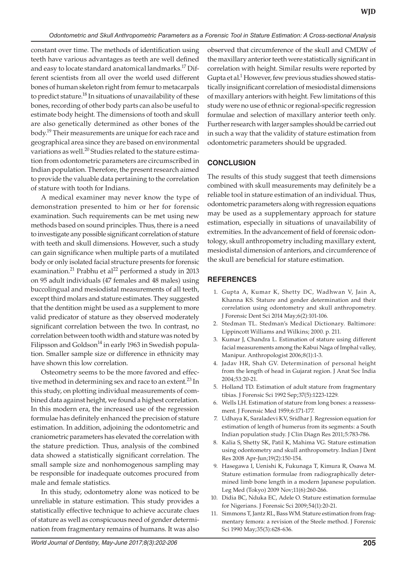constant over time. The methods of identification using teeth have various advantages as teeth are well defined and easy to locate standard anatomical landmarks.<sup>17</sup> Different scientists from all over the world used different bones of human skeleton right from femur to metacarpals to predict stature. $^{18}$  In situations of unavailability of these bones, recording of other body parts can also be useful to estimate body height. The dimensions of tooth and skull are also genetically determined as other bones of the body.19 Their measurements are unique for each race and geographical area since they are based on environmental variations as well.<sup>20</sup> Studies related to the stature estimation from odontometric parameters are circumscribed in Indian population. Therefore, the present research aimed to provide the valuable data pertaining to the correlation of stature with tooth for Indians.

A medical examiner may never know the type of demonstration presented to him or her for forensic examination. Such requirements can be met using new methods based on sound principles. Thus, there is a need to investigate any possible significant correlation of stature with teeth and skull dimensions. However, such a study can gain significance when multiple parts of a mutilated body or only isolated facial structure presents for forensic examination.<sup>21</sup> Prabhu et al<sup>22</sup> performed a study in 2013 on 95 adult individuals (47 females and 48 males) using buccolingual and mesiodistal measurements of all teeth, except third molars and stature estimates. They suggested that the dentition might be used as a supplement to more valid predicator of stature as they observed moderately significant correlation between the two. In contrast, no correlation between tooth width and stature was noted by Filipsson and Goldson $^{14}$  in early 1963 in Swedish population. Smaller sample size or difference in ethnicity may have shown this low correlation.

Osteometry seems to be the more favored and effective method in determining sex and race to an extent.<sup>23</sup> In this study, on plotting individual measurements of combined data against height, we found a highest correlation. In this modern era, the increased use of the regression formulae has definitely enhanced the precision of stature estimation. In addition, adjoining the odontometric and craniometric parameters has elevated the correlation with the stature prediction. Thus, analysis of the combined data showed a statistically significant correlation. The small sample size and nonhomogenous sampling may be responsible for inadequate outcomes procured from male and female statistics.

In this study, odontometry alone was noticed to be unreliable in stature estimation. This study provides a statistically effective technique to achieve accurate clues of stature as well as conspicuous need of gender determination from fragmentary remains of humans. It was also

observed that circumference of the skull and CMDW of the maxillary anterior teeth were statistically significant in correlation with height. Similar results were reported by Gupta et al.<sup>1</sup> However, few previous studies showed statistically insignificant correlation of mesiodistal dimensions of maxillary anteriors with height. Few limitations of this study were no use of ethnic or regional-specific regression formulae and selection of maxillary anterior teeth only. Further research with larger samples should be carried out in such a way that the validity of stature estimation from odontometric parameters should be upgraded.

## **CONCLUSION**

The results of this study suggest that teeth dimensions combined with skull measurements may definitely be a reliable tool in stature estimation of an individual. Thus, odontometric parameters along with regression equations may be used as a supplementary approach for stature estimation, especially in situations of unavailability of extremities. In the advancement of field of forensic odontology, skull anthropometry including maxillary extent, mesiodistal dimension of anteriors, and circumference of the skull are beneficial for stature estimation.

## **REFERENCES**

- 1. Gupta A, Kumar K, Shetty DC, Wadhwan V, Jain A, Khanna KS. Stature and gender determination and their correlation using odontometry and skull anthropometry. J Forensic Dent Sci 2014 May;6(2):101-106.
- 2. Stedman TL. Stedman's Medical Dictionary. Baltimore: Lippincott Williams and Wilkins; 2000. p. 211.
- 3. Kumar J, Chandra L. Estimation of stature using different facial measurements among the Kabui Naga of Imphal valley, Manipur. Anthropologist 2006;8(1):1-3.
- 4. Jadav HR, Shah GV. Determination of personal height from the length of head in Gujarat region. J Anat Soc India 2004;53:20-21.
- 5. Holland TD. Estimation of adult stature from fragmentary tibias. J Forensic Sci 1992 Sep;37(5):1223-1229.
- 6. Wells LH. Estimation of stature from long bones: a reassessment. J Forensic Med 1959;6:171-177.
- 7. Udhaya K, Saraladevi KV, Sridhar J. Regression equation for estimation of length of humerus from its segments: a South Indian population study. J Clin Diagn Res 2011;5:783-786.
- 8. Kalia S, Shetty SK, Patil K, Mahima VG. Stature estimation using odontometry and skull anthropometry. Indian J Dent Res 2008 Apr-Jun;19(2):150-154.
- 9. Hasegawa I, Uenishi K, Fukunaga T, Kimura R, Osawa M. Stature estimation formulae from radiographically determined limb bone length in a modern Japanese population. Leg Med (Tokyo) 2009 Nov;11(6):260-266.
- 10. Didia BC, Nduka EC, Adele O. Stature estimation formulae for Nigerians. J Forensic Sci 2009;54(1):20-21.
- 11. Simmons T, Jantz RL, Bass WM. Stature estimation from fragmentary femora: a revision of the Steele method. J Forensic Sci 1990 May;35(3):628-636.